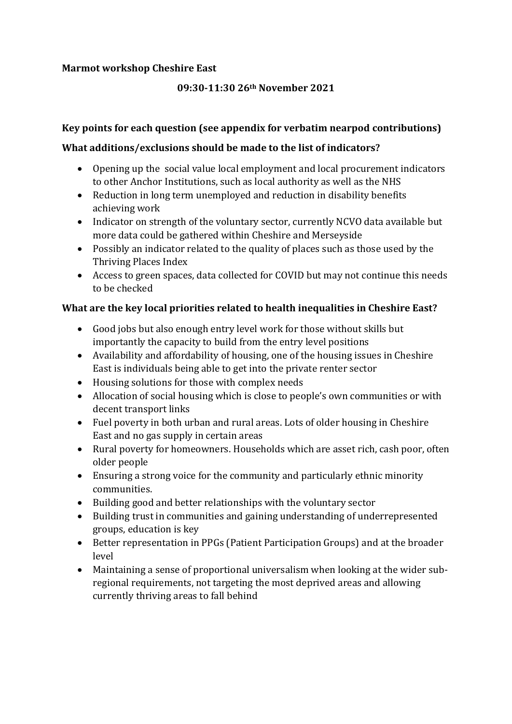#### **Marmot workshop Cheshire East**

### **09:30-11:30 26th November 2021**

### **Key points for each question (see appendix for verbatim nearpod contributions)**

### **What additions/exclusions should be made to the list of indicators?**

- Opening up the social value local employment and local procurement indicators to other Anchor Institutions, such as local authority as well as the NHS
- Reduction in long term unemployed and reduction in disability benefits achieving work
- Indicator on strength of the voluntary sector, currently NCVO data available but more data could be gathered within Cheshire and Merseyside
- Possibly an indicator related to the quality of places such as those used by the Thriving Places Index
- Access to green spaces, data collected for COVID but may not continue this needs to be checked

### **What are the key local priorities related to health inequalities in Cheshire East?**

- Good jobs but also enough entry level work for those without skills but importantly the capacity to build from the entry level positions
- Availability and affordability of housing, one of the housing issues in Cheshire East is individuals being able to get into the private renter sector
- Housing solutions for those with complex needs
- Allocation of social housing which is close to people's own communities or with decent transport links
- Fuel poverty in both urban and rural areas. Lots of older housing in Cheshire East and no gas supply in certain areas
- Rural poverty for homeowners. Households which are asset rich, cash poor, often older people
- Ensuring a strong voice for the community and particularly ethnic minority communities.
- Building good and better relationships with the voluntary sector
- Building trust in communities and gaining understanding of underrepresented groups, education is key
- Better representation in PPGs (Patient Participation Groups) and at the broader level
- Maintaining a sense of proportional universalism when looking at the wider subregional requirements, not targeting the most deprived areas and allowing currently thriving areas to fall behind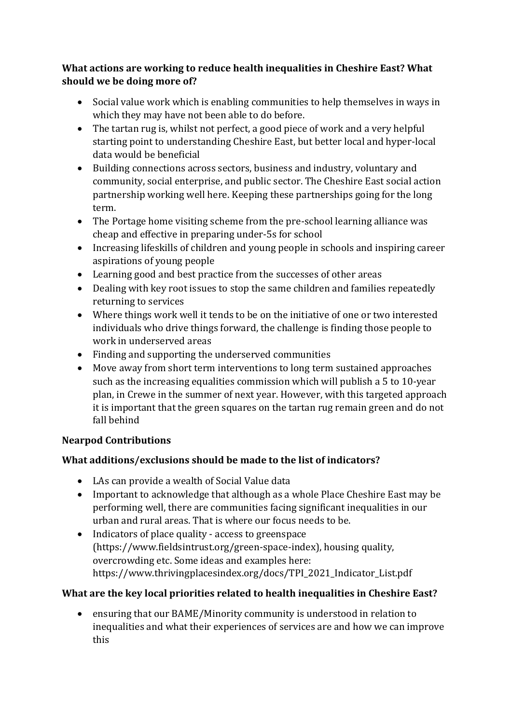## **What actions are working to reduce health inequalities in Cheshire East? What should we be doing more of?**

- Social value work which is enabling communities to help themselves in ways in which they may have not been able to do before.
- The tartan rug is, whilst not perfect, a good piece of work and a very helpful starting point to understanding Cheshire East, but better local and hyper-local data would be beneficial
- Building connections across sectors, business and industry, voluntary and community, social enterprise, and public sector. The Cheshire East social action partnership working well here. Keeping these partnerships going for the long term.
- The Portage home visiting scheme from the pre-school learning alliance was cheap and effective in preparing under-5s for school
- Increasing lifeskills of children and young people in schools and inspiring career aspirations of young people
- Learning good and best practice from the successes of other areas
- Dealing with key root issues to stop the same children and families repeatedly returning to services
- Where things work well it tends to be on the initiative of one or two interested individuals who drive things forward, the challenge is finding those people to work in underserved areas
- Finding and supporting the underserved communities
- Move away from short term interventions to long term sustained approaches such as the increasing equalities commission which will publish a 5 to 10-year plan, in Crewe in the summer of next year. However, with this targeted approach it is important that the green squares on the tartan rug remain green and do not fall behind

## **Nearpod Contributions**

# **What additions/exclusions should be made to the list of indicators?**

- LAs can provide a wealth of Social Value data
- Important to acknowledge that although as a whole Place Cheshire East may be performing well, there are communities facing significant inequalities in our urban and rural areas. That is where our focus needs to be.
- Indicators of place quality access to greenspace (https://www.fieldsintrust.org/green-space-index), housing quality, overcrowding etc. Some ideas and examples here: https://www.thrivingplacesindex.org/docs/TPI\_2021\_Indicator\_List.pdf

## **What are the key local priorities related to health inequalities in Cheshire East?**

• ensuring that our BAME/Minority community is understood in relation to inequalities and what their experiences of services are and how we can improve this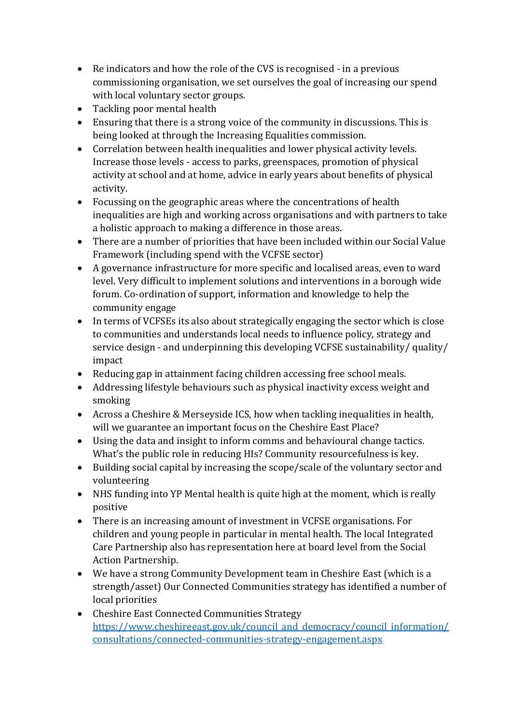- Re indicators and how the role of the CVS is recognised in a previous commissioning organisation, we set ourselves the goal of increasing our spend with local voluntary sector groups.
- Tackling poor mental health
- Ensuring that there is a strong voice of the community in discussions. This is being looked at through the Increasing Equalities commission.
- Correlation between health inequalities and lower physical activity levels. Increase those levels - access to parks, greenspaces, promotion of physical activity at school and at home, advice in early years about benefits of physical activity.
- Focussing on the geographic areas where the concentrations of health inequalities are high and working across organisations and with partners to take a holistic approach to making a difference in those areas.
- There are a number of priorities that have been included within our Social Value Framework (including spend with the VCFSE sector)
- A governance infrastructure for more specific and localised areas, even to ward level. Very difficult to implement solutions and interventions in a borough wide forum. Co-ordination of support, information and knowledge to help the community engage
- In terms of VCFSEs its also about strategically engaging the sector which is close to communities and understands local needs to influence policy, strategy and service design - and underpinning this developing VCFSE sustainability/ quality/ impact
- Reducing gap in attainment facing children accessing free school meals.
- Addressing lifestyle behaviours such as physical inactivity excess weight and smoking
- Across a Cheshire & Merseyside ICS, how when tackling inequalities in health, will we guarantee an important focus on the Cheshire East Place?
- Using the data and insight to inform comms and behavioural change tactics. What's the public role in reducing HIs? Community resourcefulness is key.
- Building social capital by increasing the scope/scale of the voluntary sector and volunteering
- NHS funding into YP Mental health is quite high at the moment, which is really positive
- There is an increasing amount of investment in VCFSE organisations. For children and young people in particular in mental health. The local Integrated Care Partnership also has representation here at board level from the Social Action Partnership.
- We have a strong Community Development team in Cheshire East (which is a strength/asset) Our Connected Communities strategy has identified a number of local priorities
- Cheshire East Connected Communities Strategy [https://www.cheshireeast.gov.uk/council\\_and\\_democracy/council\\_information/](https://www.cheshireeast.gov.uk/council_and_democracy/council_information/consultations/connected-communities-strategy-engagement.aspx) [consultations/connected-communities-strategy-engagement.aspx](https://www.cheshireeast.gov.uk/council_and_democracy/council_information/consultations/connected-communities-strategy-engagement.aspx)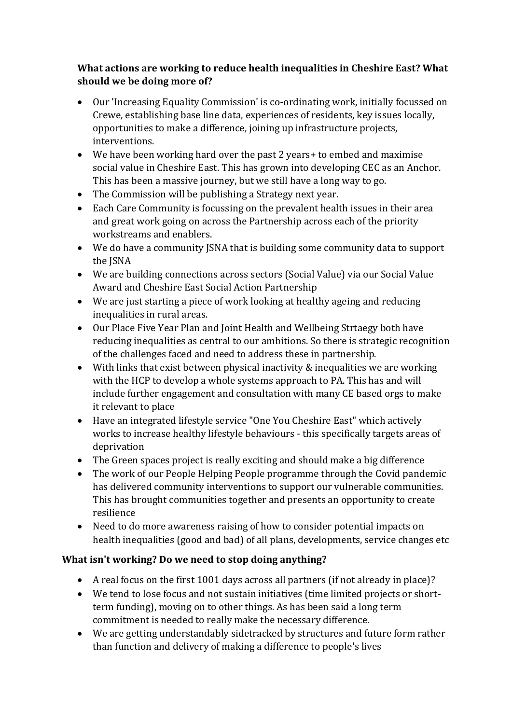## **What actions are working to reduce health inequalities in Cheshire East? What should we be doing more of?**

- Our 'Increasing Equality Commission' is co-ordinating work, initially focussed on Crewe, establishing base line data, experiences of residents, key issues locally, opportunities to make a difference, joining up infrastructure projects, interventions.
- We have been working hard over the past 2 years + to embed and maximise social value in Cheshire East. This has grown into developing CEC as an Anchor. This has been a massive journey, but we still have a long way to go.
- The Commission will be publishing a Strategy next year.
- Each Care Community is focussing on the prevalent health issues in their area and great work going on across the Partnership across each of the priority workstreams and enablers.
- We do have a community JSNA that is building some community data to support the JSNA
- We are building connections across sectors (Social Value) via our Social Value Award and Cheshire East Social Action Partnership
- We are just starting a piece of work looking at healthy ageing and reducing inequalities in rural areas.
- Our Place Five Year Plan and Joint Health and Wellbeing Strtaegy both have reducing inequalities as central to our ambitions. So there is strategic recognition of the challenges faced and need to address these in partnership.
- With links that exist between physical inactivity & inequalities we are working with the HCP to develop a whole systems approach to PA. This has and will include further engagement and consultation with many CE based orgs to make it relevant to place
- Have an integrated lifestyle service "One You Cheshire East" which actively works to increase healthy lifestyle behaviours - this specifically targets areas of deprivation
- The Green spaces project is really exciting and should make a big difference
- The work of our People Helping People programme through the Covid pandemic has delivered community interventions to support our vulnerable communities. This has brought communities together and presents an opportunity to create resilience
- Need to do more awareness raising of how to consider potential impacts on health inequalities (good and bad) of all plans, developments, service changes etc

### **What isn't working? Do we need to stop doing anything?**

- A real focus on the first 1001 days across all partners (if not already in place)?
- We tend to lose focus and not sustain initiatives (time limited projects or shortterm funding), moving on to other things. As has been said a long term commitment is needed to really make the necessary difference.
- We are getting understandably sidetracked by structures and future form rather than function and delivery of making a difference to people's lives